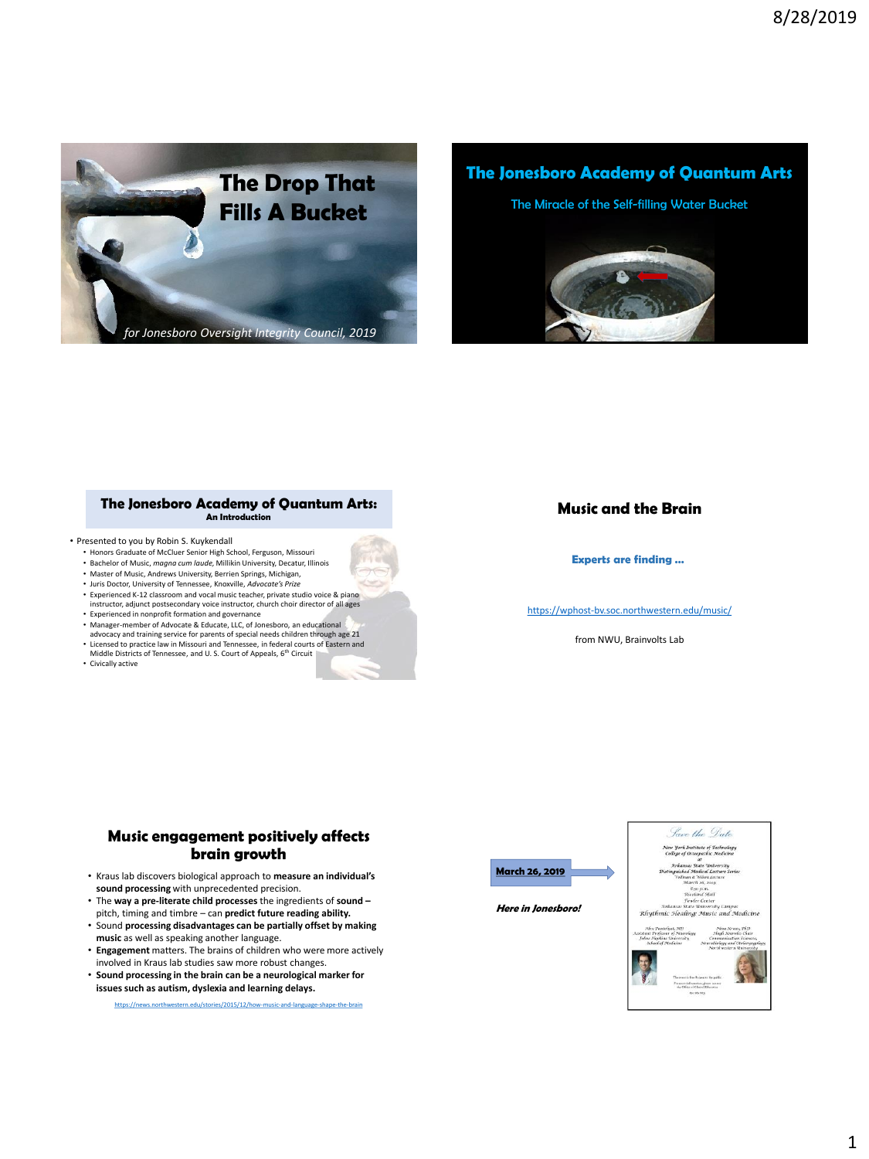

**The Jonesboro Academy of Quantum Arts**

The Miracle of the Self-filling Water Bucket



**The Jonesboro Academy of Quantum Arts:**

- Presented to you by Robin S. Kuykendall
	- Honors Graduate of McCluer Senior High School, Ferguson, Missouri
	- Bachelor of Music, *magna cum laude,* Millikin University, Decatur, Illinois • Master of Music, Andrews University, Berrien Springs, Michigan,
	- Juris Doctor, University of Tennessee, Knoxville, *Advocate's Prize*
	-
	- Experienced K-12 classroom and vocal music teacher, private studio voice & piano instructor, adjunct postsecondary voice instructor, church choir director of all ages
	- Experienced in nonprofit formation and governance
	- Manager-member of Advocate & Educate, LLC, of Jonesboro, an educational advocacy and training service for parents of special needs children through age 21
	- Licensed to practice law in Missouri and Tennessee, in federal courts of Eastern and Middle Districts of Tennessee, and U. S. Court of Appeals, 6th Circuit
	- Civically active

#### **Music and the Brain**

#### **Experts are finding …**

<https://wphost-bv.soc.northwestern.edu/music/>

from NWU, Brainvolts Lab

#### **Music engagement positively affects brain growth**

- Kraus lab discovers biological approach to **measure an individual's sound processing** with unprecedented precision.
- The **way a pre-literate child processes** the ingredients of **sound –** pitch, timing and timbre – can **predict future reading ability.**
- Sound **processing disadvantages can be partially offset by making music** as well as speaking another language.
- **Engagement** matters. The brains of children who were more actively involved in Kraus lab studies saw more robust changes.
- **Sound processing in the brain can be a neurological marker for issues such as autism, dyslexia and learning delays.**

ties/2015/12/how-music-and-language-shape-the-brain



**Here in Jonesboro!**

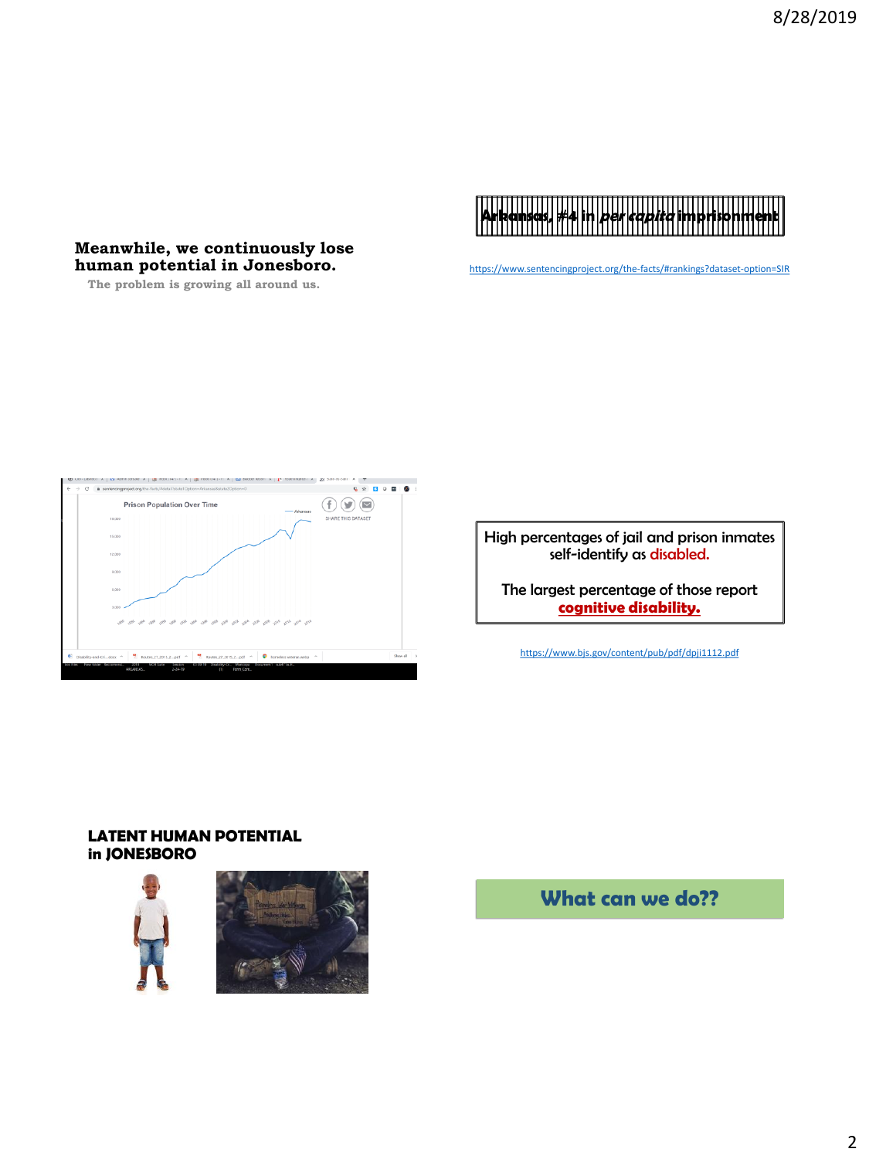# **Arkansas, #4 in per capita imprisonment**

**Meanwhile, we continuously lose human potential in Jonesboro.**

**The problem is growing all around us.**

<https://www.sentencingproject.org/the-facts/#rankings?dataset-option=SIR>



High percentages of jail and prison inmates self-identify as disabled.

The largest percentage of those report **cognitive disability.**

<https://www.bjs.gov/content/pub/pdf/dpji1112.pdf>

#### **LATENT HUMAN POTENTIAL in JONESBORO**





**What can we do??**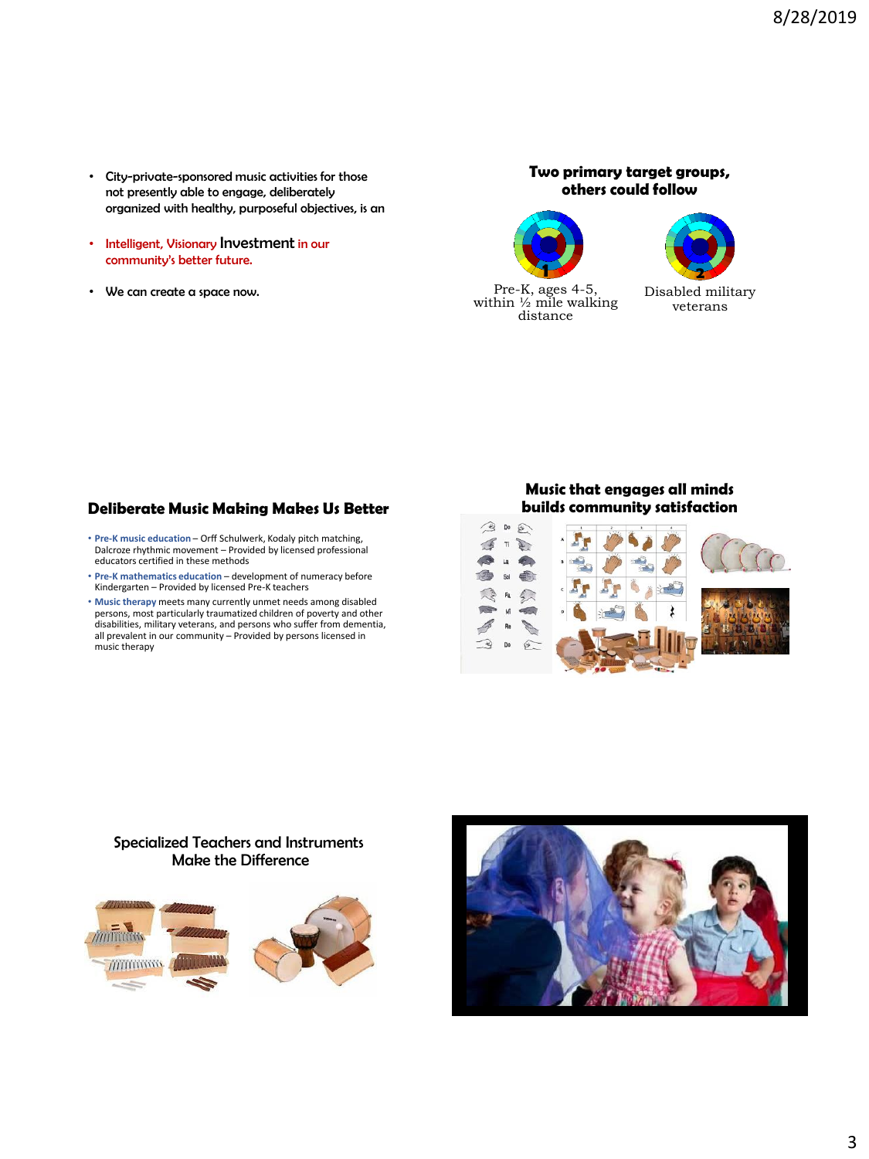- City-private-sponsored music activities for those not presently able to engage, deliberately organized with healthy, purposeful objectives, is an
- Intelligent, Visionary Investment in our community's better future.
- We can create a space now.

**Two primary target groups, others could follow**





Disabled military veterans

#### **Deliberate Music Making Makes Us Better**

- **Pre-K music education**  Orff Schulwerk, Kodaly pitch matching, Dalcroze rhythmic movement Provided by licensed professional educators certified in these methods
- **Pre-K mathematics education**  development of numeracy before Kindergarten – Provided by licensed Pre-K teachers
- **Music therapy** meets many currently unmet needs among disabled persons, most particularly traumatized children of poverty and other disabilities, military veterans, and persons who suffer from dementia, all prevalent in our community – Provided by persons licensed in music therapy

#### **Music that engages all minds builds community satisfaction**



#### Specialized Teachers and Instruments Make the Difference



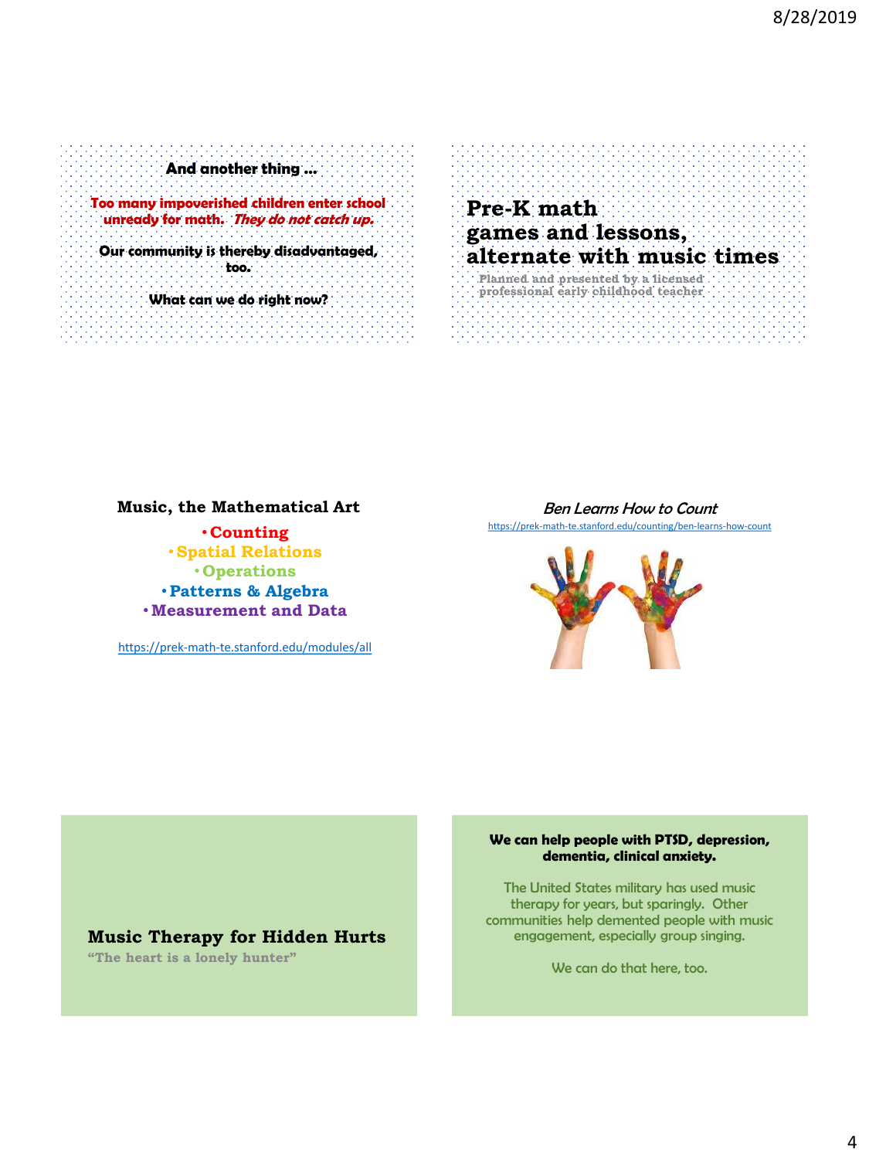**And another thing …**

**Too many impoverished children enter school unready for math. They do not catch up.**

**Our community is thereby disadvantaged, too.**

**What can we do right now?**

# **Pre-K math games and lessons, alternate with music times**

**Planned and presented by a licensed professional early childhood teacher**

#### **Music, the Mathematical Art**

• **Counting** •**Spatial Relations** • **Operations** •**Patterns & Algebra** •**Measurement and Data**

<https://prek-math-te.stanford.edu/modules/all>

**Music Therapy for Hidden Hurts**

**"The heart is a lonely hunter"**

#### Ben Learns How to Count

<https://prek-math-te.stanford.edu/counting/ben-learns-how-count>



#### **We can help people with PTSD, depression, dementia, clinical anxiety.**

The United States military has used music therapy for years, but sparingly. Other communities help demented people with music engagement, especially group singing.

We can do that here, too.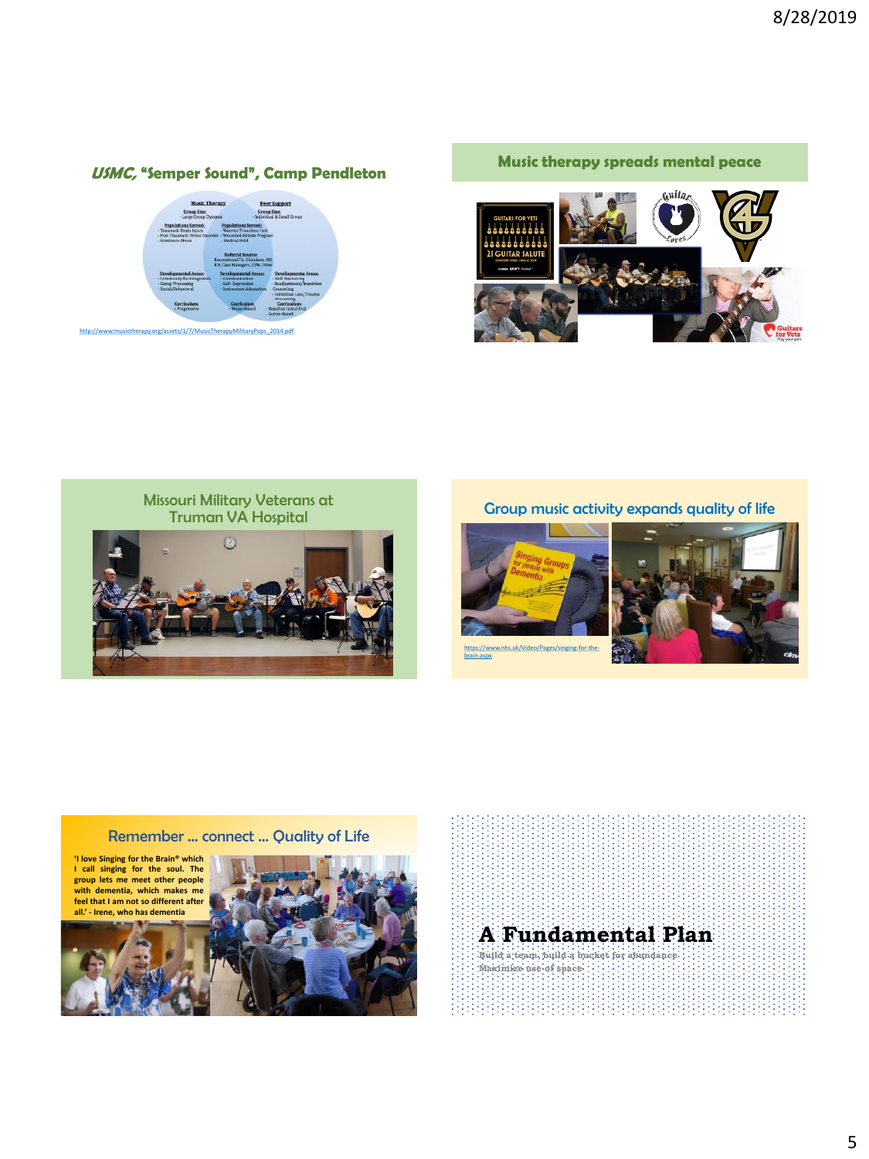# **USMC, "Semper Sound", Camp Pendleton**



[http://www.musictherapy.org/assets/1/7/MusicTherapyMilitaryPops\\_2014.pdf](http://www.musictherapy.org/assets/1/7/MusicTherapyMilitaryPops_2014.pdf)

#### **Music therapy spreads mental peace**





Group music activity expands quality of life



brain.aspx



#### Remember … connect … Quality of Life





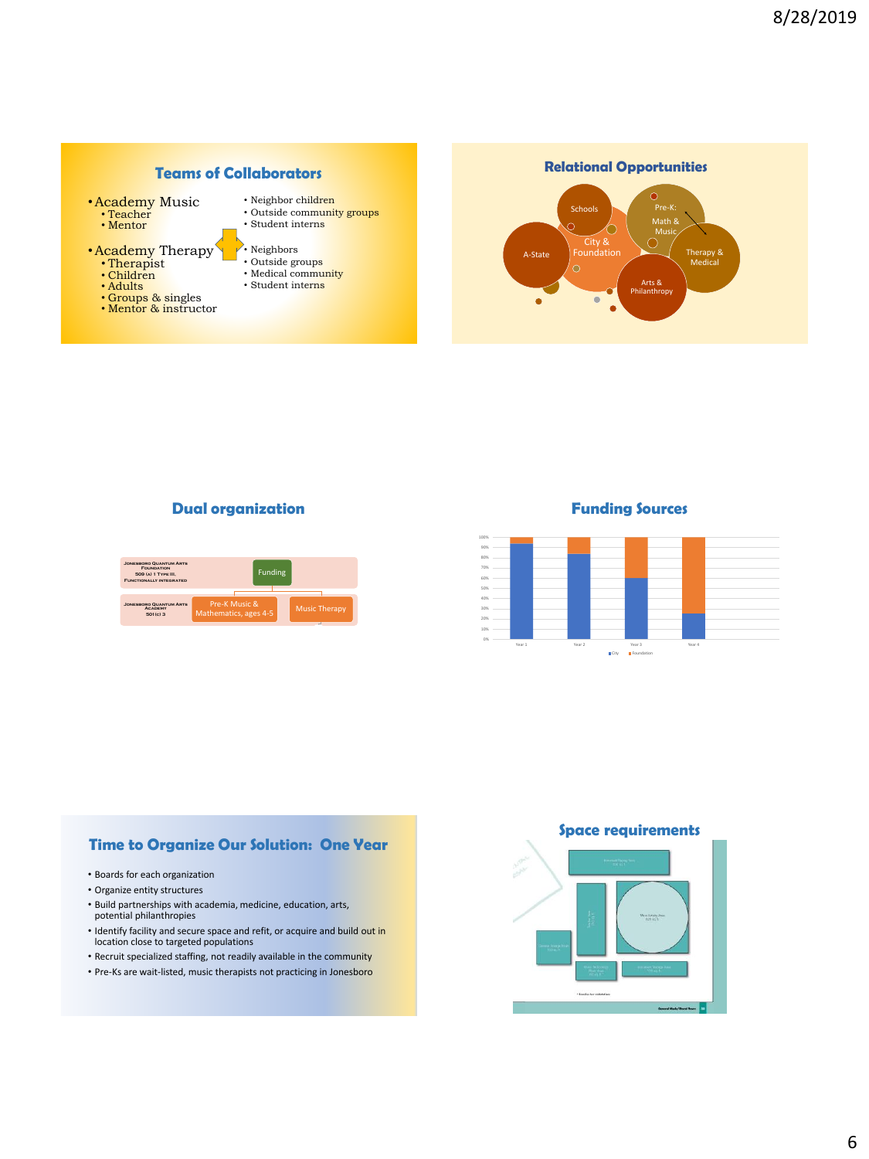

#### **Dual organization**



#### **Funding Sources**



#### **Time to Organize Our Solution: One Year**

- Boards for each organization
- Organize entity structures
- Build partnerships with academia, medicine, education, arts, potential philanthropies
- Identify facility and secure space and refit, or acquire and build out in location close to targeted populations
- Recruit specialized staffing, not readily available in the community
- Pre-Ks are wait-listed, music therapists not practicing in Jonesboro

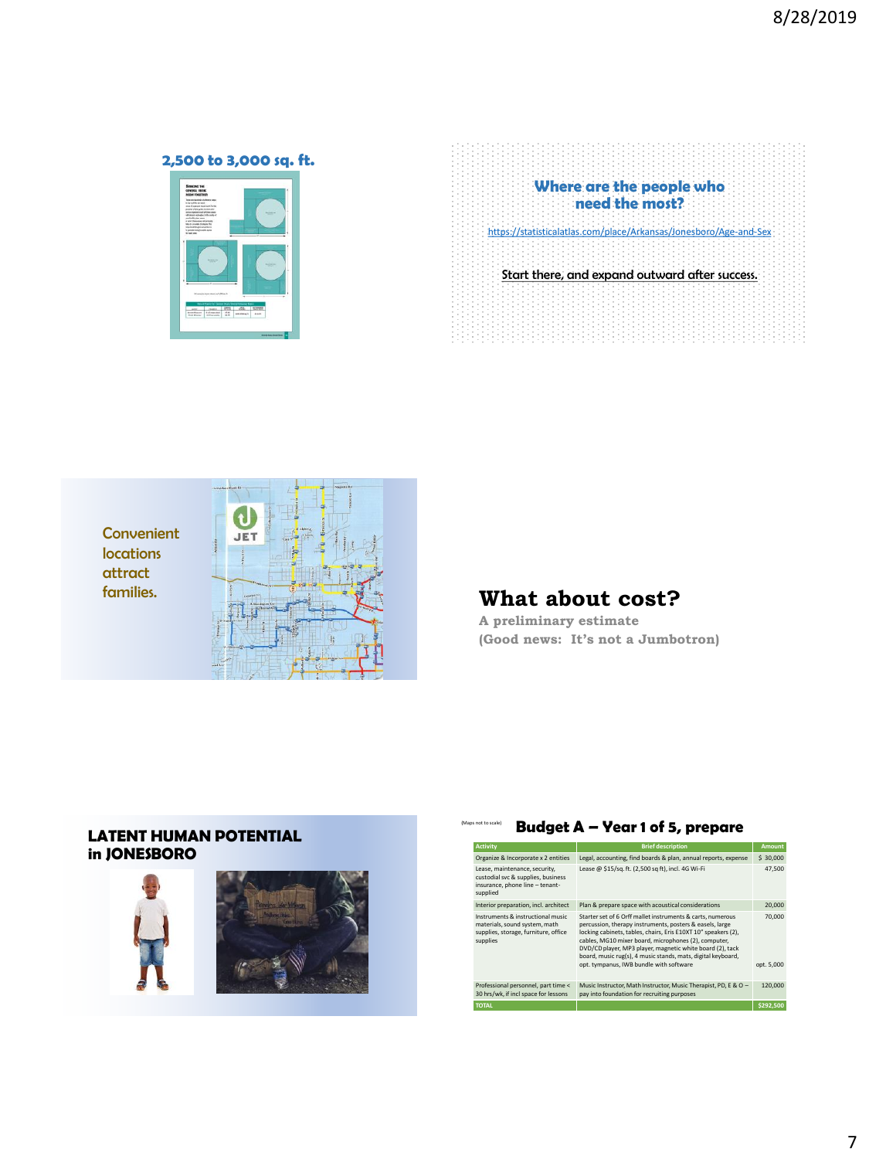# **2,500 to 3,000 sq. ft.**



|  |  | Where are the people who |                                                                   |  |
|--|--|--------------------------|-------------------------------------------------------------------|--|
|  |  | need the most?           |                                                                   |  |
|  |  |                          | https://statisticalatlas.com/place/Arkansas/Jonesboro/Age-and-Sex |  |
|  |  |                          |                                                                   |  |
|  |  |                          |                                                                   |  |
|  |  |                          | Start there, and expand outward after success.                    |  |
|  |  |                          |                                                                   |  |
|  |  |                          |                                                                   |  |



(Maps not to scale)

**A preliminary estimate (Good news: It's not a Jumbotron)**

#### **LATENT HUMAN POTENTIAL in JONESBORO**





### **Budget A – Year 1 of 5, prepare**

| <b>Activity</b>                                                                                                        | <b>Brief description</b>                                                                                                                                                                                                                                                                                                                                                                                                 | <b>Amount</b>        |
|------------------------------------------------------------------------------------------------------------------------|--------------------------------------------------------------------------------------------------------------------------------------------------------------------------------------------------------------------------------------------------------------------------------------------------------------------------------------------------------------------------------------------------------------------------|----------------------|
| Organize & Incorporate x 2 entities                                                                                    | Legal, accounting, find boards & plan, annual reports, expense                                                                                                                                                                                                                                                                                                                                                           | \$ 30,000            |
| Lease, maintenance, security,<br>custodial svc & supplies, business<br>insurance, phone line - tenant-<br>supplied     | Lease @ \$15/sq.ft. (2,500 sq ft), incl. 4G Wi-Fi                                                                                                                                                                                                                                                                                                                                                                        | 47.500               |
| Interior preparation, incl. architect                                                                                  | Plan & prepare space with acoustical considerations                                                                                                                                                                                                                                                                                                                                                                      | 20,000               |
| Instruments & instructional music<br>materials, sound system, math<br>supplies, storage, furniture, office<br>supplies | Starter set of 6 Orff mallet instruments & carts, numerous<br>percussion, therapy instruments, posters & easels, large<br>locking cabinets, tables, chairs, Eris E10XT 10" speakers (2),<br>cables, MG10 mixer board, microphones (2), computer,<br>DVD/CD player, MP3 player, magnetic white board (2), tack<br>board, music rug(s), 4 music stands, mats, digital keyboard,<br>opt. tympanus, IWB bundle with software | 70,000<br>opt. 5,000 |
|                                                                                                                        |                                                                                                                                                                                                                                                                                                                                                                                                                          |                      |
| Professional personnel, part time <<br>30 hrs/wk, if incl space for lessons                                            | Music Instructor, Math Instructor, Music Therapist, PD, E & O -<br>pay into foundation for recruiting purposes                                                                                                                                                                                                                                                                                                           | 120,000              |
| <b>TOTAL</b>                                                                                                           |                                                                                                                                                                                                                                                                                                                                                                                                                          | \$292.500            |